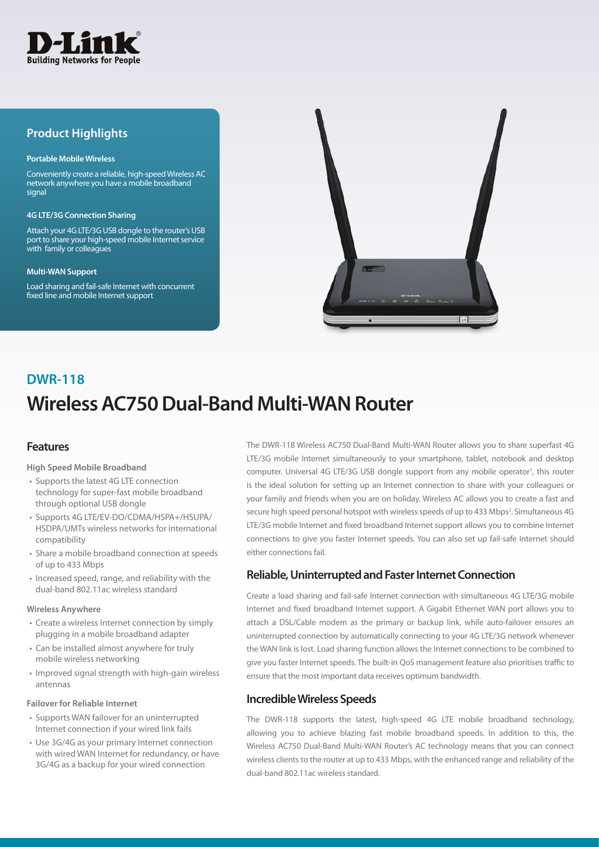

# **Product Highlights**

#### **Portable Mobile Wireless**

Conveniently create a reliable, high-speed Wireless AC network anywhere you have a mobile broadband signal

#### **4G LTE/3G Connection Sharing**

Attach your 4G LTE/3G USB dongle to the router's USB port to share your high-speed mobile Internet service with family or colleagues

#### **Multi-WAN Support**

Load sharing and fail-safe Internet with concurrent fixed line and mobile Internet support



# **Wireless AC750 Dual-Band Multi-WAN Router DWR-118**

### **Features**

**High Speed Mobile Broadband**

- Supports the latest 4G LTE connection technology for super-fast mobile broadband through optional USB dongle
- Supports 4G LTE/EV-DO/CDMA/HSPA+/HSUPA/ HSDPA/UMTs wireless networks for international compatibility
- Share a mobile broadband connection at speeds of up to 433 Mbps
- Increased speed, range, and reliability with the dual-band 802.11ac wireless standard

#### **Wireless Anywhere**

- Create a wireless Internet connection by simply plugging in a mobile broadband adapter
- Can be installed almost anywhere for truly mobile wireless networking
- Improved signal strength with high-gain wireless antennas

#### **Failover for Reliable Internet**

- Supports WAN failover for an uninterrupted Internet connection if your wired link fails
- Use 3G/4G as your primary Internet connection with wired WAN Internet for redundancy, or have 3G/4G as a backup for your wired connection

The DWR-118 Wireless AC750 Dual-Band Multi-WAN Router allows you to share superfast 4G LTE/3G mobile Internet simultaneously to your smartphone, tablet, notebook and desktop computer. Universal 4G LTE/3G USB dongle support from any mobile operator<sup>1</sup>, this router is the ideal solution for setting up an Internet connection to share with your colleagues or your family and friends when you are on holiday. Wireless AC allows you to create a fast and secure high speed personal hotspot with wireless speeds of up to 433 Mbps<sup>2</sup>. Simultaneous 4G LTE/3G mobile Internet and fixed broadband Internet support allows you to combine Internet connections to give you faster Internet speeds. You can also set up fail-safe Internet should either connections fail.

### **Reliable, Uninterrupted and Faster Internet Connection**

Create a load sharing and fail-safe Internet connection with simultaneous 4G LTE/3G mobile Internet and fixed broadband Internet support. A Gigabit Ethernet WAN port allows you to attach a DSL/Cable modem as the primary or backup link, while auto-failover ensures an uninterrupted connection by automatically connecting to your 4G LTE/3G network whenever the WAN link is lost. Load sharing function allows the Internet connections to be combined to give you faster Internet speeds. The built-in QoS management feature also prioritises traffic to ensure that the most important data receives optimum bandwidth.

### **Incredible Wireless Speeds**

The DWR-118 supports the latest, high-speed 4G LTE mobile broadband technology, allowing you to achieve blazing fast mobile broadband speeds. In addition to this, the Wireless AC750 Dual-Band Multi-WAN Router's AC technology means that you can connect wireless clients to the router at up to 433 Mbps, with the enhanced range and reliability of the dual-band 802.11ac wireless standard.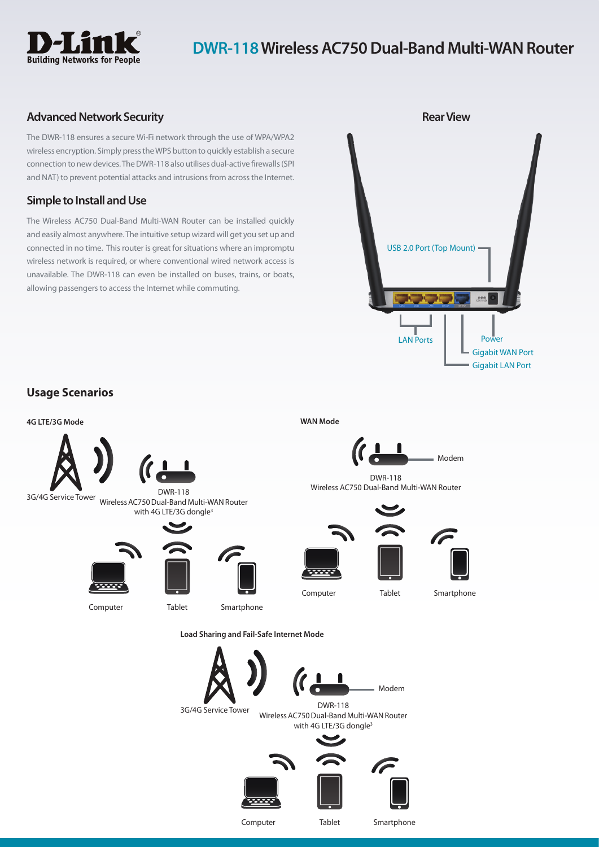

# **DWR-118 Wireless AC750 Dual-Band Multi-WAN Router**

# **Advanced Network Security**

The DWR-118 ensures a secure Wi-Fi network through the use of WPA/WPA2 wireless encryption. Simply press the WPS button to quickly establish a secure connection to new devices. The DWR-118 also utilises dual-active firewalls (SPI and NAT) to prevent potential attacks and intrusions from across the Internet.

## **Simple to Install and Use**

The Wireless AC750 Dual-Band Multi-WAN Router can be installed quickly and easily almost anywhere. The intuitive setup wizard will get you set up and connected in no time. This router is great for situations where an impromptu wireless network is required, or where conventional wired network access is unavailable. The DWR-118 can even be installed on buses, trains, or boats, allowing passengers to access the Internet while commuting.



# **Usage Scenarios**



Computer Tablet Smartphone